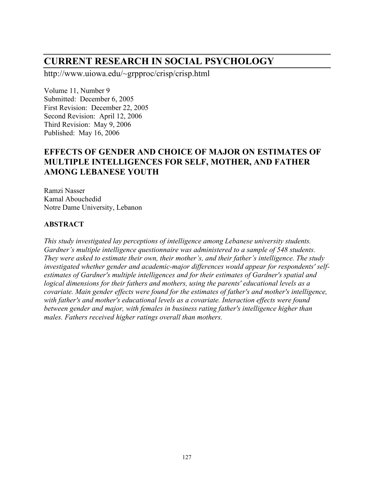# **CURRENT RESEARCH IN SOCIAL PSYCHOLOGY**

http://www.uiowa.edu/~grpproc/crisp/crisp.html

Volume 11, Number 9 Submitted: December 6, 2005 First Revision: December 22, 2005 Second Revision: April 12, 2006 Third Revision: May 9, 2006 Published: May 16, 2006

# **EFFECTS OF GENDER AND CHOICE OF MAJOR ON ESTIMATES OF MULTIPLE INTELLIGENCES FOR SELF, MOTHER, AND FATHER AMONG LEBANESE YOUTH**

Ramzi Nasser Kamal Abouchedid Notre Dame University, Lebanon

#### **ABSTRACT**

*This study investigated lay perceptions of intelligence among Lebanese university students. Gardner's multiple intelligence questionnaire was administered to a sample of 548 students. They were asked to estimate their own, their mother's, and their father's intelligence. The study investigated whether gender and academic-major differences would appear for respondents' selfestimates of Gardner's multiple intelligences and for their estimates of Gardner's spatial and logical dimensions for their fathers and mothers, using the parents' educational levels as a covariate. Main gender effects were found for the estimates of father's and mother's intelligence, with father's and mother's educational levels as a covariate. Interaction effects were found between gender and major, with females in business rating father's intelligence higher than males. Fathers received higher ratings overall than mothers.*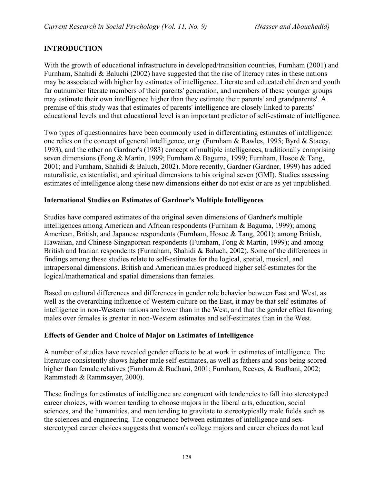# **INTRODUCTION**

With the growth of educational infrastructure in developed/transition countries, Furnham (2001) and Furnham, Shahidi & Baluchi (2002) have suggested that the rise of literacy rates in these nations may be associated with higher lay estimates of intelligence. Literate and educated children and youth far outnumber literate members of their parents' generation, and members of these younger groups may estimate their own intelligence higher than they estimate their parents' and grandparents'. A premise of this study was that estimates of parents' intelligence are closely linked to parents' educational levels and that educational level is an important predictor of self-estimate of intelligence.

Two types of questionnaires have been commonly used in differentiating estimates of intelligence: one relies on the concept of general intelligence, or *g* (Furnham & Rawles, 1995; Byrd & Stacey, 1993), and the other on Gardner's (1983) concept of multiple intelligences, traditionally comprising seven dimensions (Fong & Martin, 1999; Furnham & Baguma, 1999; Furnham, Hosoe & Tang, 2001; and Furnham, Shahidi & Baluch, 2002). More recently, Gardner (Gardner, 1999) has added naturalistic, existentialist, and spiritual dimensions to his original seven (GMI). Studies assessing estimates of intelligence along these new dimensions either do not exist or are as yet unpublished.

#### **International Studies on Estimates of Gardner's Multiple Intelligences**

Studies have compared estimates of the original seven dimensions of Gardner's multiple intelligences among American and African respondents (Furnham & Baguma, 1999); among American, British, and Japanese respondents (Furnham, Hosoe & Tang, 2001); among British, Hawaiian, and Chinese-Singaporean respondents (Furnham, Fong & Martin, 1999); and among British and Iranian respondents (Furnaham, Shahidi & Baluch, 2002). Some of the differences in findings among these studies relate to self-estimates for the logical, spatial, musical, and intrapersonal dimensions. British and American males produced higher self-estimates for the logical/mathematical and spatial dimensions than females.

Based on cultural differences and differences in gender role behavior between East and West, as well as the overarching influence of Western culture on the East, it may be that self-estimates of intelligence in non-Western nations are lower than in the West, and that the gender effect favoring males over females is greater in non-Western estimates and self-estimates than in the West.

#### **Effects of Gender and Choice of Major on Estimates of Intelligence**

A number of studies have revealed gender effects to be at work in estimates of intelligence. The literature consistently shows higher male self-estimates, as well as fathers and sons being scored higher than female relatives (Furnham & Budhani, 2001; Furnham, Reeves, & Budhani, 2002; Rammstedt & Rammsayer, 2000).

These findings for estimates of intelligence are congruent with tendencies to fall into stereotyped career choices, with women tending to choose majors in the liberal arts, education, social sciences, and the humanities, and men tending to gravitate to stereotypically male fields such as the sciences and engineering. The congruence between estimates of intelligence and sexstereotyped career choices suggests that women's college majors and career choices do not lead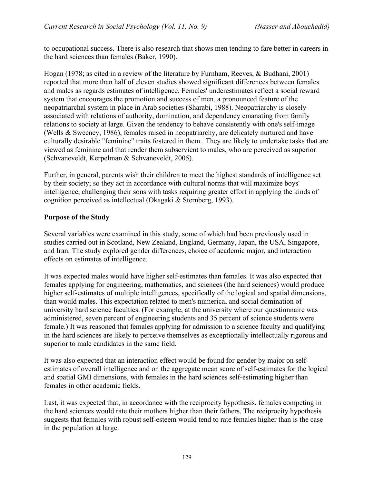to occupational success. There is also research that shows men tending to fare better in careers in the hard sciences than females (Baker, 1990).

Hogan (1978; as cited in a review of the literature by Furnham, Reeves, & Budhani, 2001) reported that more than half of eleven studies showed significant differences between females and males as regards estimates of intelligence. Females' underestimates reflect a social reward system that encourages the promotion and success of men, a pronounced feature of the neopatriarchal system in place in Arab societies (Sharabi, 1988). Neopatriarchy is closely associated with relations of authority, domination, and dependency emanating from family relations to society at large. Given the tendency to behave consistently with one's self-image (Wells & Sweeney, 1986), females raised in neopatriarchy, are delicately nurtured and have culturally desirable "feminine" traits fostered in them. They are likely to undertake tasks that are viewed as feminine and that render them subservient to males, who are perceived as superior (Schvaneveldt, Kerpelman & Schvaneveldt, 2005).

Further, in general, parents wish their children to meet the highest standards of intelligence set by their society; so they act in accordance with cultural norms that will maximize boys' intelligence, challenging their sons with tasks requiring greater effort in applying the kinds of cognition perceived as intellectual (Okagaki & Sternberg, 1993).

### **Purpose of the Study**

Several variables were examined in this study, some of which had been previously used in studies carried out in Scotland, New Zealand, England, Germany, Japan, the USA, Singapore, and Iran. The study explored gender differences, choice of academic major, and interaction effects on estimates of intelligence.

It was expected males would have higher self-estimates than females. It was also expected that females applying for engineering, mathematics, and sciences (the hard sciences) would produce higher self-estimates of multiple intelligences, specifically of the logical and spatial dimensions, than would males. This expectation related to men's numerical and social domination of university hard science faculties. (For example, at the university where our questionnaire was administered, seven percent of engineering students and 35 percent of science students were female.) It was reasoned that females applying for admission to a science faculty and qualifying in the hard sciences are likely to perceive themselves as exceptionally intellectually rigorous and superior to male candidates in the same field.

It was also expected that an interaction effect would be found for gender by major on selfestimates of overall intelligence and on the aggregate mean score of self-estimates for the logical and spatial GMI dimensions, with females in the hard sciences self-estimating higher than females in other academic fields.

Last, it was expected that, in accordance with the reciprocity hypothesis, females competing in the hard sciences would rate their mothers higher than their fathers. The reciprocity hypothesis suggests that females with robust self-esteem would tend to rate females higher than is the case in the population at large.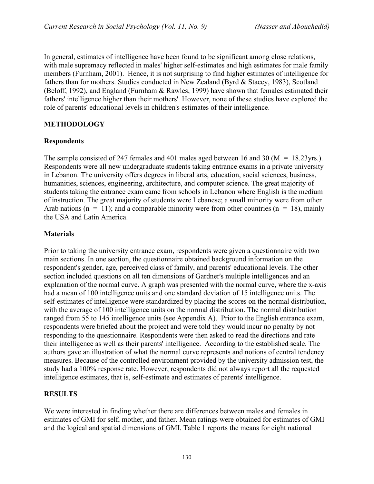In general, estimates of intelligence have been found to be significant among close relations, with male supremacy reflected in males' higher self-estimates and high estimates for male family members (Furnham, 2001). Hence, it is not surprising to find higher estimates of intelligence for fathers than for mothers. Studies conducted in New Zealand (Byrd & Stacey, 1983), Scotland (Beloff, 1992), and England (Furnham & Rawles, 1999) have shown that females estimated their fathers' intelligence higher than their mothers'. However, none of these studies have explored the role of parents' educational levels in children's estimates of their intelligence.

### **METHODOLOGY**

#### **Respondents**

The sample consisted of 247 females and 401 males aged between 16 and 30 (M = 18.23yrs.). Respondents were all new undergraduate students taking entrance exams in a private university in Lebanon. The university offers degrees in liberal arts, education, social sciences, business, humanities, sciences, engineering, architecture, and computer science. The great majority of students taking the entrance exam came from schools in Lebanon where English is the medium of instruction. The great majority of students were Lebanese; a small minority were from other Arab nations ( $n = 11$ ); and a comparable minority were from other countries ( $n = 18$ ), mainly the USA and Latin America.

#### **Materials**

Prior to taking the university entrance exam, respondents were given a questionnaire with two main sections. In one section, the questionnaire obtained background information on the respondent's gender, age, perceived class of family, and parents' educational levels. The other section included questions on all ten dimensions of Gardner's multiple intelligences and an explanation of the normal curve. A graph was presented with the normal curve, where the x-axis had a mean of 100 intelligence units and one standard deviation of 15 intelligence units. The self-estimates of intelligence were standardized by placing the scores on the normal distribution, with the average of 100 intelligence units on the normal distribution. The normal distribution ranged from 55 to 145 intelligence units (see Appendix A). Prior to the English entrance exam, respondents were briefed about the project and were told they would incur no penalty by not responding to the questionnaire. Respondents were then asked to read the directions and rate their intelligence as well as their parents' intelligence. According to the established scale. The authors gave an illustration of what the normal curve represents and notions of central tendency measures. Because of the controlled environment provided by the university admission test, the study had a 100% response rate. However, respondents did not always report all the requested intelligence estimates, that is, self-estimate and estimates of parents' intelligence.

#### **RESULTS**

We were interested in finding whether there are differences between males and females in estimates of GMI for self, mother, and father. Mean ratings were obtained for estimates of GMI and the logical and spatial dimensions of GMI. Table 1 reports the means for eight national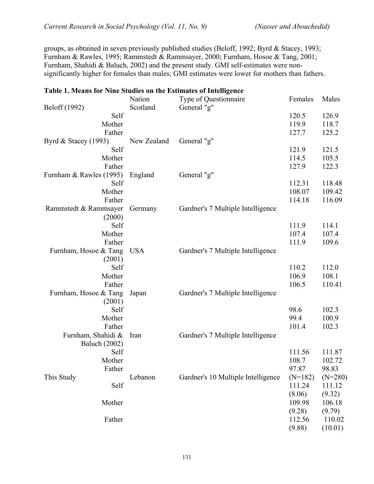groups, as obtained in seven previously published studies (Beloff, 1992; Byrd & Stacey, 1993; Furnham & Rawles, 1995; Rammstedt & Rammsayer, 2000; Furnham, Hosoe & Tang, 2001; Furnham, Shahidi & Baluch, 2002) and the present study. GMI self-estimates were nonsignificantly higher for females than males; GMI estimates were lower for mothers than fathers.

| on 1. means for thine studies on the Estimates of Intelligence |             |                                    |           |           |
|----------------------------------------------------------------|-------------|------------------------------------|-----------|-----------|
|                                                                | Nation      | Type of Questionnaire              | Females   | Males     |
| Beloff (1992)                                                  | Scotland    | General "g"                        |           |           |
| Self                                                           |             |                                    | 120.5     | 126.9     |
| Mother                                                         |             |                                    | 119.9     | 118.7     |
| Father                                                         |             |                                    | 127.7     | 125.2     |
| Byrd & Stacey (1993)                                           | New Zealand | General "g"                        |           |           |
| Self                                                           |             |                                    | 121.9     | 121.5     |
| Mother                                                         |             |                                    | 114.5     | 105.5     |
| Father                                                         |             |                                    | 127.9     | 122.3     |
| Furnham & Rawles (1995)                                        | England     | General "g"                        |           |           |
| Self                                                           |             |                                    | 112.31    | 118.48    |
| Mother                                                         |             |                                    | 108.07    | 109.42    |
| Father                                                         |             |                                    | 114.18    | 116.09    |
| Rammstedt & Rammsayer                                          | Germany     | Gardner's 7 Multiple Intelligence  |           |           |
| (2000)                                                         |             |                                    |           |           |
| Self                                                           |             |                                    | 111.9     | 114.1     |
| Mother                                                         |             |                                    | 107.4     | 107.4     |
| Father                                                         |             |                                    | 111.9     | 109.6     |
| Furnham, Hosoe & Tang                                          | <b>USA</b>  | Gardner's 7 Multiple Intelligence  |           |           |
|                                                                |             |                                    |           |           |
| (2001)<br>Self                                                 |             |                                    | 110.2     |           |
|                                                                |             |                                    |           | 112.0     |
| Mother                                                         |             |                                    | 106.9     | 108.1     |
| Father                                                         |             |                                    | 106.5     | 110.41    |
| Furnham, Hosoe & Tang                                          | Japan       | Gardner's 7 Multiple Intelligence  |           |           |
| (2001)                                                         |             |                                    |           |           |
| Self                                                           |             |                                    | 98.6      | 102.3     |
| Mother                                                         |             |                                    | 99.4      | 100.9     |
| Father                                                         |             |                                    | 101.4     | 102.3     |
| Furnham, Shahidi &                                             | Iran        | Gardner's 7 Multiple Intelligence  |           |           |
| <b>Baluch</b> (2002)                                           |             |                                    |           |           |
| Self                                                           |             |                                    | 111.56    | 111.87    |
| Mother                                                         |             |                                    | 108.7     | 102.72    |
| Father                                                         |             |                                    | 97.87     | 98.83     |
| This Study                                                     | Lebanon     | Gardner's 10 Multiple Intelligence | $(N=182)$ | $(N=280)$ |
| Self                                                           |             |                                    | 111.24    | 111.12    |
|                                                                |             |                                    | (8.06)    | (9.32)    |
| Mother                                                         |             |                                    | 109.98    | 106.18    |
|                                                                |             |                                    | (9.28)    | (9.79)    |
| Father                                                         |             |                                    | 112.56    | 110.02    |
|                                                                |             |                                    | (9.88)    | (10.01)   |

#### **Table 1. Means for Nine Studies on the Estimates of Intelligence**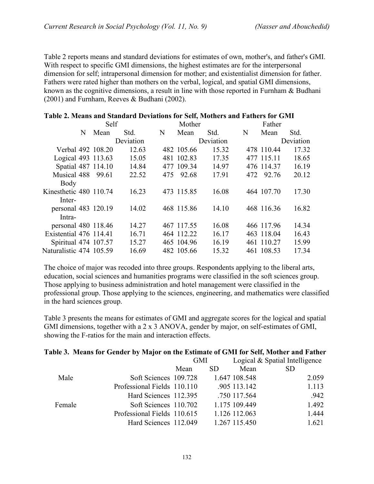Table 2 reports means and standard deviations for estimates of own, mother's, and father's GMI. With respect to specific GMI dimensions, the highest estimates are for the interpersonal dimension for self; intrapersonal dimension for mother; and existentialist dimension for father. Fathers were rated higher than mothers on the verbal, logical, and spatial GMI dimensions, known as the cognitive dimensions, a result in line with those reported in Furnham & Budhani (2001) and Furnham, Reeves & Budhani (2002).

| olv 2) rituans and standard DVTM00ns for Svng rituances and I athers for Griff |      |           |     |            |           |   |            |           |
|--------------------------------------------------------------------------------|------|-----------|-----|------------|-----------|---|------------|-----------|
|                                                                                | Self |           |     | Mother     |           |   | Father     |           |
| N                                                                              | Mean | Std.      | N   | Mean       | Std.      | N | Mean       | Std.      |
|                                                                                |      | Deviation |     |            | Deviation |   |            | Deviation |
| Verbal 492 108.20                                                              |      | 12.63     |     | 482 105.66 | 15.32     |   | 478 110.44 | 17.32     |
| Logical 493 113.63                                                             |      | 15.05     |     | 481 102.83 | 17.35     |   | 477 115.11 | 18.65     |
| Spatial 487 114.10                                                             |      | 14.84     |     | 477 109.34 | 14.97     |   | 476 114.37 | 16.19     |
| Musical 488 99.61                                                              |      | 22.52     | 475 | 92.68      | 17.91     |   | 472 92.76  | 20.12     |
| Body                                                                           |      |           |     |            |           |   |            |           |
| Kinesthetic 480 110.74                                                         |      | 16.23     |     | 473 115.85 | 16.08     |   | 464 107.70 | 17.30     |
| Inter-                                                                         |      |           |     |            |           |   |            |           |
| personal 483 120.19                                                            |      | 14.02     |     | 468 115.86 | 14.10     |   | 468 116.36 | 16.82     |
| Intra-                                                                         |      |           |     |            |           |   |            |           |
| personal 480 118.46                                                            |      | 14.27     |     | 467 117.55 | 16.08     |   | 466 117.96 | 14.34     |
| Existential 476 114.41                                                         |      | 16.71     |     | 464 112.22 | 16.17     |   | 463 118.04 | 16.43     |
| Spiritual 474 107.57                                                           |      | 15.27     |     | 465 104.96 | 16.19     |   | 461 110.27 | 15.99     |
| Naturalistic 474 105.59                                                        |      | 16.69     |     | 482 105.66 | 15.32     |   | 461 108.53 | 17.34     |

# **Table 2. Means and Standard Deviations for Self, Mothers and Fathers for GMI**

The choice of major was recoded into three groups. Respondents applying to the liberal arts, education, social sciences and humanities programs were classified in the soft sciences group. Those applying to business administration and hotel management were classified in the professional group. Those applying to the sciences, engineering, and mathematics were classified in the hard sciences group.

Table 3 presents the means for estimates of GMI and aggregate scores for the logical and spatial GMI dimensions, together with a 2 x 3 ANOVA, gender by major, on self-estimates of GMI, showing the F-ratios for the main and interaction effects.

#### **Table 3. Means for Gender by Major on the Estimate of GMI for Self, Mother and Father**

|        |                             | <b>GMI</b> |     |               | Logical & Spatial Intelligence |
|--------|-----------------------------|------------|-----|---------------|--------------------------------|
|        |                             | Mean       | SD. | Mean          | <b>SD</b>                      |
| Male   | Soft Sciences 109.728       |            |     | 1.647 108.548 | 2.059                          |
|        | Professional Fields 110.110 |            |     | .905 113.142  | 1.113                          |
|        | Hard Sciences 112.395       |            |     | .750 117.564  | .942                           |
| Female | Soft Sciences 110.702       |            |     | 1.175 109.449 | 1.492                          |
|        | Professional Fields 110.615 |            |     | 1.126 112.063 | 1.444                          |
|        | Hard Sciences 112.049       |            |     | 1.267 115.450 | 1.621                          |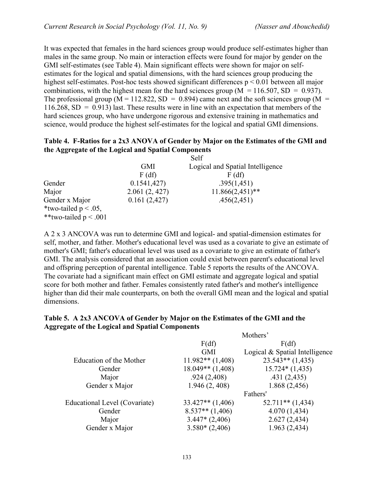It was expected that females in the hard sciences group would produce self-estimates higher than males in the same group. No main or interaction effects were found for major by gender on the GMI self-estimates (see Table 4). Main significant effects were shown for major on selfestimates for the logical and spatial dimensions, with the hard sciences group producing the highest self-estimates. Post-hoc tests showed significant differences  $p \le 0.01$  between all major combinations, with the highest mean for the hard sciences group ( $M = 116.507$ , SD = 0.937). The professional group ( $M = 112.822$ ,  $SD = 0.894$ ) came next and the soft sciences group ( $M =$  $116.268$ , SD = 0.913) last. These results were in line with an expectation that members of the hard sciences group, who have undergone rigorous and extensive training in mathematics and science, would produce the highest self-estimates for the logical and spatial GMI dimensions.

# **Table 4. F-Ratios for a 2x3 ANOVA of Gender by Major on the Estimates of the GMI and the Aggregate of the Logical and Spatial Components**

|                                                                      |               | Self                             |
|----------------------------------------------------------------------|---------------|----------------------------------|
|                                                                      | <b>GMI</b>    | Logical and Spatial Intelligence |
|                                                                      | F(df)         | F(df)                            |
| Gender                                                               | 0.1541,427    | .395(1,451)                      |
| Major                                                                | 2.061(2, 427) | $11.866(2,451)$ **               |
| Gender x Major<br>*two-tailed $p < .05$ ,<br>**two-tailed $p < .001$ | 0.161(2,427)  | .456(2,451)                      |

A 2 x 3 ANCOVA was run to determine GMI and logical- and spatial-dimension estimates for self, mother, and father. Mother's educational level was used as a covariate to give an estimate of mother's GMI; father's educational level was used as a covariate to give an estimate of father's GMI. The analysis considered that an association could exist between parent's educational level and offspring perception of parental intelligence. Table 5 reports the results of the ANCOVA. The covariate had a significant main effect on GMI estimate and aggregate logical and spatial score for both mother and father. Females consistently rated father's and mother's intelligence higher than did their male counterparts, on both the overall GMI mean and the logical and spatial dimensions.

#### **Table 5. A 2x3 ANCOVA of Gender by Major on the Estimates of the GMI and the Aggregate of the Logical and Spatial Components**  $M_1$   $1$   $2$

|                               |                      | <b>MOUNTER</b>                 |
|-------------------------------|----------------------|--------------------------------|
|                               | F(df)                | F(df)                          |
|                               | <b>GMI</b>           | Logical & Spatial Intelligence |
| Education of the Mother       | $11.982**$ $(1,408)$ | $23.543**$ (1,435)             |
| Gender                        | $18.049**$ (1,408)   | $15.724*(1,435)$               |
| Major                         | .924(2,408)          | .431(2,435)                    |
| Gender x Major                | 1.946(2, 408)        | 1.868(2,456)                   |
|                               |                      | Fathers'                       |
| Educational Level (Covariate) | $33.427**$ $(1,406)$ | $52.711**$ (1,434)             |
| Gender                        | $8.537**$ (1,406)    | 4.070(1,434)                   |
| Major                         | $3.447*(2,406)$      | 2.627(2,434)                   |
| Gender x Major                | $3.580*(2,406)$      | 1.963 (2,434)                  |
|                               |                      |                                |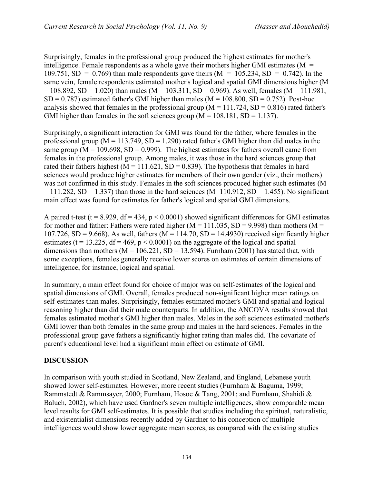Surprisingly, females in the professional group produced the highest estimates for mother's intelligence. Female respondents as a whole gave their mothers higher GMI estimates ( $M =$ 109.751, SD = 0.769) than male respondents gave theirs ( $M = 105.234$ , SD = 0.742). In the same vein, female respondents estimated mother's logical and spatial GMI dimensions higher (M  $= 108.892$ , SD = 1.020) than males (M = 103.311, SD = 0.969). As well, females (M = 111.981,  $SD = 0.787$ ) estimated father's GMI higher than males (M = 108.800, SD = 0.752). Post-hoc analysis showed that females in the professional group ( $M = 111.724$ ,  $SD = 0.816$ ) rated father's GMI higher than females in the soft sciences group  $(M = 108.181, SD = 1.137)$ .

Surprisingly, a significant interaction for GMI was found for the father, where females in the professional group ( $M = 113.749$ ,  $SD = 1.290$ ) rated father's GMI higher than did males in the same group ( $M = 109.698$ ,  $SD = 0.999$ ). The highest estimates for fathers overall came from females in the professional group. Among males, it was those in the hard sciences group that rated their fathers highest ( $M = 111.621$ ,  $SD = 0.839$ ). The hypothesis that females in hard sciences would produce higher estimates for members of their own gender (viz., their mothers) was not confirmed in this study. Females in the soft sciences produced higher such estimates (M  $= 111.282$ , SD = 1.337) than those in the hard sciences (M=110.912, SD = 1.455). No significant main effect was found for estimates for father's logical and spatial GMI dimensions.

A paired t-test (t = 8.929, df = 434,  $p < 0.0001$ ) showed significant differences for GMI estimates for mother and father: Fathers were rated higher ( $M = 111.035$ , SD = 9.998) than mothers ( $M =$ 107.726, SD = 9.668). As well, fathers ( $M = 114.70$ , SD = 14.4930) received significantly higher estimates (t = 13.225, df = 469,  $p < 0.0001$ ) on the aggregate of the logical and spatial dimensions than mothers ( $M = 106.221$ ,  $SD = 13.594$ ). Furnham (2001) has stated that, with some exceptions, females generally receive lower scores on estimates of certain dimensions of intelligence, for instance, logical and spatial.

In summary, a main effect found for choice of major was on self-estimates of the logical and spatial dimensions of GMI. Overall, females produced non-significant higher mean ratings on self-estimates than males. Surprisingly, females estimated mother's GMI and spatial and logical reasoning higher than did their male counterparts. In addition, the ANCOVA results showed that females estimated mother's GMI higher than males. Males in the soft sciences estimated mother's GMI lower than both females in the same group and males in the hard sciences. Females in the professional group gave fathers a significantly higher rating than males did. The covariate of parent's educational level had a significant main effect on estimate of GMI.

# **DISCUSSION**

In comparison with youth studied in Scotland, New Zealand, and England, Lebanese youth showed lower self-estimates. However, more recent studies (Furnham & Baguma, 1999; Rammstedt & Rammsayer, 2000; Furnham, Hosoe & Tang, 2001; and Furnham, Shahidi & Baluch, 2002), which have used Gardner's seven multiple intelligences, show comparable mean level results for GMI self-estimates. It is possible that studies including the spiritual, naturalistic, and existentialist dimensions recently added by Gardner to his conception of multiple intelligences would show lower aggregate mean scores, as compared with the existing studies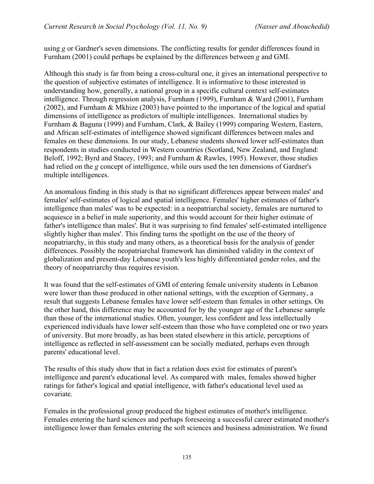using *g* or Gardner's seven dimensions. The conflicting results for gender differences found in Furnham (2001) could perhaps be explained by the differences between *g* and GMI.

Although this study is far from being a cross-cultural one, it gives an international perspective to the question of subjective estimates of intelligence. It is informative to those interested in understanding how, generally, a national group in a specific cultural context self-estimates intelligence. Through regression analysis, Furnham (1999), Furnham & Ward (2001), Furnham (2002), and Furnham & Mkhize (2003) have pointed to the importance of the logical and spatial dimensions of intelligence as predictors of multiple intelligences. International studies by Furnham & Baguna (1999) and Furnham, Clark, & Bailey (1999) comparing Western, Eastern, and African self-estimates of intelligence showed significant differences between males and females on these dimensions. In our study, Lebanese students showed lower self-estimates than respondents in studies conducted in Western countries (Scotland, New Zealand, and England: Beloff, 1992; Byrd and Stacey, 1993; and Furnham & Rawles, 1995). However, those studies had relied on the *g* concept of intelligence, while ours used the ten dimensions of Gardner's multiple intelligences.

An anomalous finding in this study is that no significant differences appear between males' and females' self-estimates of logical and spatial intelligence. Females' higher estimates of father's intelligence than males' was to be expected: in a neopatriarchal society, females are nurtured to acquiesce in a belief in male superiority, and this would account for their higher estimate of father's intelligence than males'. But it was surprising to find females' self-estimated intelligence slightly higher than males'. This finding turns the spotlight on the use of the theory of neopatriarchy, in this study and many others, as a theoretical basis for the analysis of gender differences. Possibly the neopatriarchal framework has diminished validity in the context of globalization and present-day Lebanese youth's less highly differentiated gender roles, and the theory of neopatriarchy thus requires revision.

It was found that the self-estimates of GMI of entering female university students in Lebanon were lower than those produced in other national settings, with the exception of Germany, a result that suggests Lebanese females have lower self-esteem than females in other settings. On the other hand, this difference may be accounted for by the younger age of the Lebanese sample than those of the international studies. Often, younger, less confident and less intellectually experienced individuals have lower self-esteem than those who have completed one or two years of university. But more broadly, as has been stated elsewhere in this article, perceptions of intelligence as reflected in self-assessment can be socially mediated, perhaps even through parents' educational level.

The results of this study show that in fact a relation does exist for estimates of parent's intelligence and parent's educational level. As compared with males, females showed higher ratings for father's logical and spatial intelligence, with father's educational level used as covariate.

Females in the professional group produced the highest estimates of mother's intelligence. Females entering the hard sciences and perhaps foreseeing a successful career estimated mother's intelligence lower than females entering the soft sciences and business administration. We found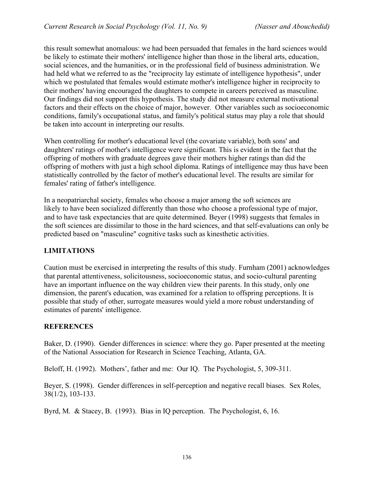this result somewhat anomalous: we had been persuaded that females in the hard sciences would be likely to estimate their mothers' intelligence higher than those in the liberal arts, education, social sciences, and the humanities, or in the professional field of business administration. We had held what we referred to as the "reciprocity lay estimate of intelligence hypothesis", under which we postulated that females would estimate mother's intelligence higher in reciprocity to their mothers' having encouraged the daughters to compete in careers perceived as masculine. Our findings did not support this hypothesis. The study did not measure external motivational factors and their effects on the choice of major, however. Other variables such as socioeconomic conditions, family's occupational status, and family's political status may play a role that should be taken into account in interpreting our results.

When controlling for mother's educational level (the covariate variable), both sons' and daughters' ratings of mother's intelligence were significant. This is evident in the fact that the offspring of mothers with graduate degrees gave their mothers higher ratings than did the offspring of mothers with just a high school diploma. Ratings of intelligence may thus have been statistically controlled by the factor of mother's educational level. The results are similar for females' rating of father's intelligence.

In a neopatriarchal society, females who choose a major among the soft sciences are likely to have been socialized differently than those who choose a professional type of major, and to have task expectancies that are quite determined. Beyer (1998) suggests that females in the soft sciences are dissimilar to those in the hard sciences, and that self-evaluations can only be predicted based on "masculine" cognitive tasks such as kinesthetic activities.

# **LIMITATIONS**

Caution must be exercised in interpreting the results of this study. Furnham (2001) acknowledges that parental attentiveness, solicitousness, socioeconomic status, and socio-cultural parenting have an important influence on the way children view their parents. In this study, only one dimension, the parent's education, was examined for a relation to offspring perceptions. It is possible that study of other, surrogate measures would yield a more robust understanding of estimates of parents' intelligence.

# **REFERENCES**

Baker, D. (1990). Gender differences in science: where they go. Paper presented at the meeting of the National Association for Research in Science Teaching, Atlanta, GA.

Beloff, H. (1992). Mothers', father and me: Our IQ. The Psychologist, 5, 309-311.

Beyer, S. (1998). Gender differences in self-perception and negative recall biases. Sex Roles, 38(1/2), 103-133.

Byrd, M. & Stacey, B. (1993). Bias in IQ perception. The Psychologist, 6, 16.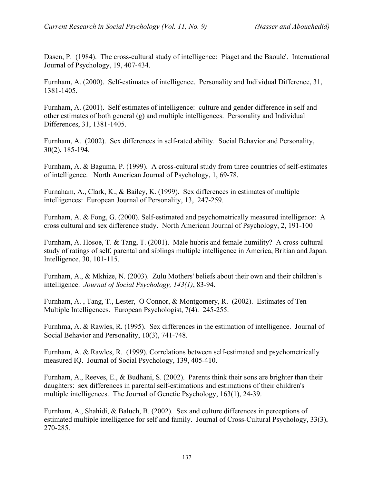Dasen, P. (1984). The cross-cultural study of intelligence: Piaget and the Baoule'. International Journal of Psychology, 19, 407-434.

Furnham, A. (2000). Self-estimates of intelligence. Personality and Individual Difference, 31, 1381-1405.

Furnham, A. (2001). Self estimates of intelligence: culture and gender difference in self and other estimates of both general (g) and multiple intelligences. Personality and Individual Differences, 31, 1381-1405.

Furnham, A. (2002). Sex differences in self-rated ability. Social Behavior and Personality, 30(2), 185-194.

Furnham, A. & Baguma, P. (1999). A cross-cultural study from three countries of self-estimates of intelligence. North American Journal of Psychology, 1, 69-78.

Furnaham, A., Clark, K., & Bailey, K. (1999). Sex differences in estimates of multiple intelligences: European Journal of Personality, 13, 247-259.

Furnham, A. & Fong, G. (2000). Self-estimated and psychometrically measured intelligence: A cross cultural and sex difference study. North American Journal of Psychology, 2, 191-100

Furnham, A. Hosoe, T. & Tang, T. (2001). Male hubris and female humility? A cross-cultural study of ratings of self, parental and siblings multiple intelligence in America, Britian and Japan. Intelligence, 30, 101-115.

Furnham, A., & Mkhize, N. (2003). Zulu Mothers' beliefs about their own and their children's intelligence. *Journal of Social Psychology, 143(1)*, 83-94.

Furnham, A. , Tang, T., Lester, O Connor, & Montgomery, R. (2002). Estimates of Ten Multiple Intelligences. European Psychologist, 7(4). 245-255.

Furnhma, A. & Rawles, R. (1995). Sex differences in the estimation of intelligence. Journal of Social Behavior and Personality, 10(3), 741-748.

Furnham, A. & Rawles, R. (1999). Correlations between self-estimated and psychometrically measured IQ. Journal of Social Psychology, 139, 405-410.

Furnham, A., Reeves, E., & Budhani, S. (2002). Parents think their sons are brighter than their daughters: sex differences in parental self-estimations and estimations of their children's multiple intelligences. The Journal of Genetic Psychology, 163(1), 24-39.

Furnham, A., Shahidi, & Baluch, B. (2002). Sex and culture differences in perceptions of estimated multiple intelligence for self and family. Journal of Cross-Cultural Psychology, 33(3), 270-285.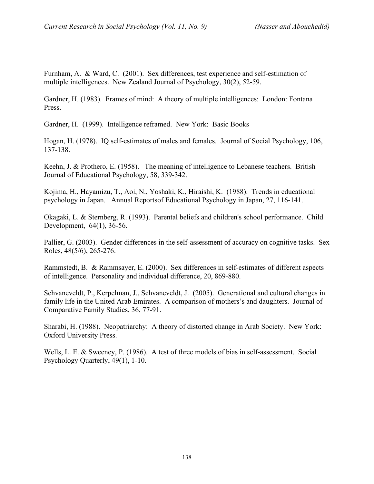Furnham, A. & Ward, C. (2001). Sex differences, test experience and self-estimation of multiple intelligences. New Zealand Journal of Psychology, 30(2), 52-59.

Gardner, H. (1983). Frames of mind: A theory of multiple intelligences: London: Fontana Press.

Gardner, H. (1999). Intelligence reframed. New York: Basic Books

Hogan, H. (1978). IQ self-estimates of males and females. Journal of Social Psychology, 106, 137-138.

Keehn, J. & Prothero, E. (1958). The meaning of intelligence to Lebanese teachers. British Journal of Educational Psychology, 58, 339-342.

Kojima, H., Hayamizu, T., Aoi, N., Yoshaki, K., Hiraishi, K. (1988). Trends in educational psychology in Japan. Annual Reportsof Educational Psychology in Japan, 27, 116-141.

Okagaki, L. & Sternberg, R. (1993). Parental beliefs and children's school performance. Child Development, 64(1), 36-56.

Pallier, G. (2003). Gender differences in the self-assessment of accuracy on cognitive tasks. Sex Roles, 48(5/6), 265-276.

Rammstedt, B. & Rammsayer, E. (2000). Sex differences in self-estimates of different aspects of intelligence. Personality and individual difference, 20, 869-880.

Schvaneveldt, P., Kerpelman, J., Schvaneveldt, J. (2005). Generational and cultural changes in family life in the United Arab Emirates. A comparison of mothers's and daughters. Journal of Comparative Family Studies, 36, 77-91.

Sharabi, H. (1988). Neopatriarchy: A theory of distorted change in Arab Society. New York: Oxford University Press.

Wells, L. E. & Sweeney, P. (1986). A test of three models of bias in self-assessment. Social Psychology Quarterly, 49(1), 1-10.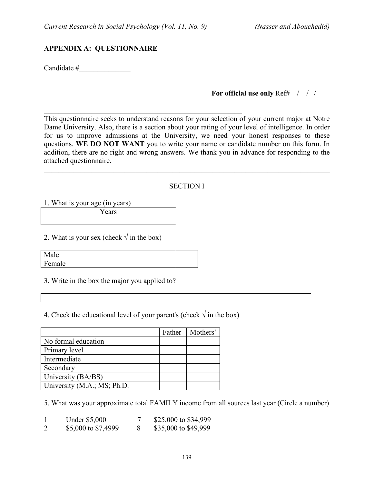$\mathcal{L}_\text{max}$  , and the contract of the contract of the contract of the contract of the contract of the contract of the contract of the contract of the contract of the contract of the contract of the contract of the contr

### **APPENDIX A: QUESTIONNAIRE**

Candidate #

#### **For official use only** Ref# / / /

This questionnaire seeks to understand reasons for your selection of your current major at Notre Dame University. Also, there is a section about your rating of your level of intelligence. In order for us to improve admissions at the University, we need your honest responses to these questions. **WE DO NOT WANT** you to write your name or candidate number on this form. In addition, there are no right and wrong answers. We thank you in advance for responding to the attached questionnaire.

#### SECTION I

 $\mathcal{L}_\mathcal{L} = \{ \mathcal{L}_\mathcal{L} = \{ \mathcal{L}_\mathcal{L} = \{ \mathcal{L}_\mathcal{L} = \{ \mathcal{L}_\mathcal{L} = \{ \mathcal{L}_\mathcal{L} = \{ \mathcal{L}_\mathcal{L} = \{ \mathcal{L}_\mathcal{L} = \{ \mathcal{L}_\mathcal{L} = \{ \mathcal{L}_\mathcal{L} = \{ \mathcal{L}_\mathcal{L} = \{ \mathcal{L}_\mathcal{L} = \{ \mathcal{L}_\mathcal{L} = \{ \mathcal{L}_\mathcal{L} = \{ \mathcal{L}_\mathcal{$ 

1. What is your age (in years)

Years

2. What is your sex (check  $\sqrt{ }$  in the box)

| $\mathbf{A}$<br>هاه |  |
|---------------------|--|
| Female              |  |

3. Write in the box the major you applied to?

4. Check the educational level of your parent's (check  $\sqrt{\ }$  in the box)

|                             | Father | Mothers' |
|-----------------------------|--------|----------|
| No formal education         |        |          |
| Primary level               |        |          |
| Intermediate                |        |          |
| Secondary                   |        |          |
| University (BA/BS)          |        |          |
| University (M.A.; MS; Ph.D. |        |          |

5. What was your approximate total FAMILY income from all sources last year (Circle a number)

2 \$5,000 to \$7,4999 8 \$35,000 to \$49,999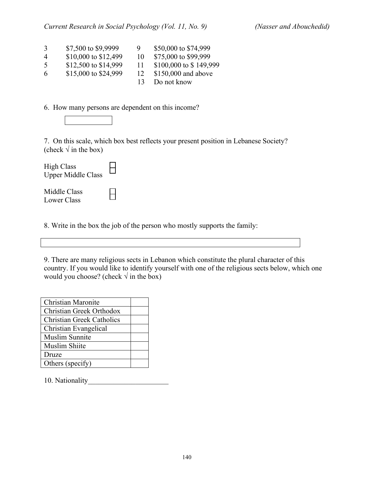| 3              | \$7,500 to \$9,9999  | 9  | \$50,000 to \$74,999   |
|----------------|----------------------|----|------------------------|
| $\overline{4}$ | \$10,000 to \$12,499 | 10 | \$75,000 to \$99,999   |
| -5             | \$12,500 to \$14,999 | 11 | \$100,000 to \$149,999 |
| 6              | \$15,000 to \$24,999 | 12 | \$150,000 and above    |
|                |                      |    | Do not know            |

6. How many persons are dependent on this income?



7. On this scale, which box best reflects your present position in Lebanese Society? (check  $\sqrt{}$  in the box)

| <b>High Class</b><br><b>Upper Middle Class</b> |  |
|------------------------------------------------|--|
| Middle Class<br>Lower Class                    |  |

8. Write in the box the job of the person who mostly supports the family:

9. There are many religious sects in Lebanon which constitute the plural character of this country. If you would like to identify yourself with one of the religious sects below, which one would you choose? (check  $\sqrt{ }$  in the box)

| Christian Maronite               |  |
|----------------------------------|--|
| Christian Greek Orthodox         |  |
| <b>Christian Greek Catholics</b> |  |
| Christian Evangelical            |  |
| <b>Muslim Sunnite</b>            |  |
| Muslim Shiite                    |  |
| Druze                            |  |
| Others (specify)                 |  |

10. Nationality\_\_\_\_\_\_\_\_\_\_\_\_\_\_\_\_\_\_\_\_\_\_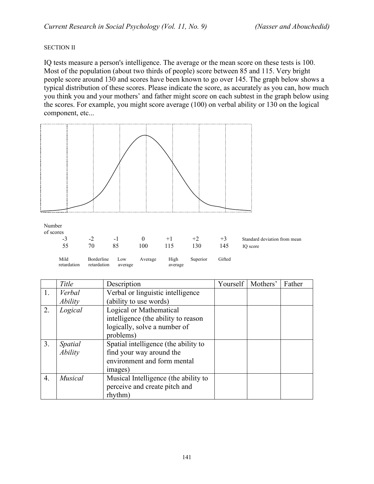#### SECTION II

IQ tests measure a person's intelligence. The average or the mean score on these tests is 100. Most of the population (about two thirds of people) score between 85 and 115. Very bright people score around 130 and scores have been known to go over 145. The graph below shows a typical distribution of these scores. Please indicate the score, as accurately as you can, how much you think you and your mothers' and father might score on each subtest in the graph below using the scores. For example, you might score average (100) on verbal ability or 130 on the logical component, etc...



|                  | Title                 | Description                          | Yourself   Mothers' | Father |
|------------------|-----------------------|--------------------------------------|---------------------|--------|
| 1.               | Verbal                | Verbal or linguistic intelligence    |                     |        |
|                  | <i><b>Ability</b></i> | (ability to use words)               |                     |        |
| 2.               | Logical               | Logical or Mathematical              |                     |        |
|                  |                       | intelligence (the ability to reason  |                     |        |
|                  |                       | logically, solve a number of         |                     |        |
|                  |                       | problems)                            |                     |        |
| 3 <sub>1</sub>   | Spatial               | Spatial intelligence (the ability to |                     |        |
|                  | Ability               | find your way around the             |                     |        |
|                  |                       | environment and form mental          |                     |        |
|                  |                       | images)                              |                     |        |
| $\overline{4}$ . | <b>Musical</b>        | Musical Intelligence (the ability to |                     |        |
|                  |                       | perceive and create pitch and        |                     |        |
|                  |                       | rhythm)                              |                     |        |